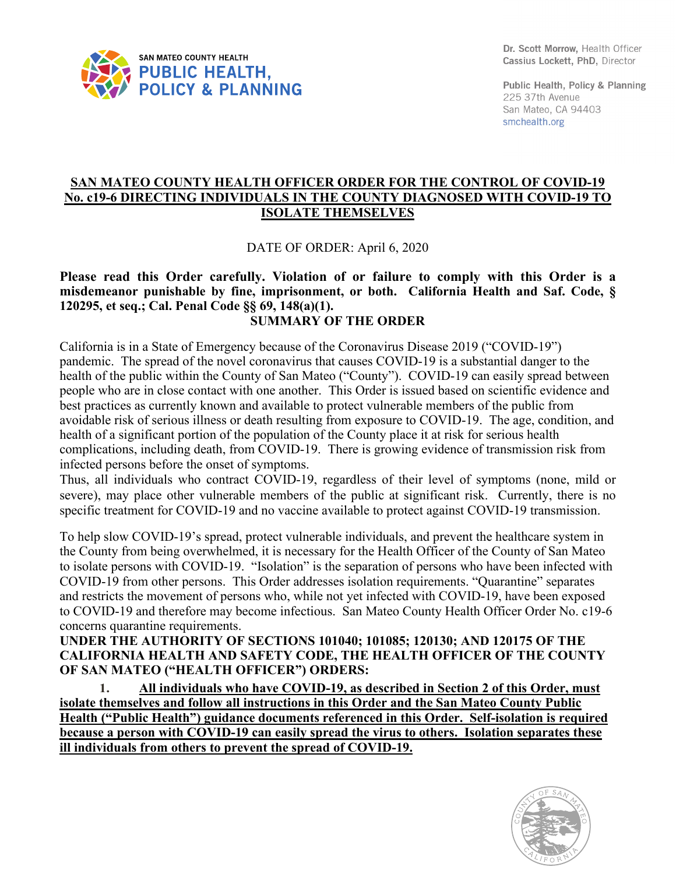

Dr. Scott Morrow, Health Officer Cassius Lockett, PhD, Director

Public Health, Policy & Planning 225 37th Avenue San Mateo, CA 94403 smchealth.org

## **SAN MATEO COUNTY HEALTH OFFICER ORDER FOR THE CONTROL OF COVID-19 No. c19-6 DIRECTING INDIVIDUALS IN THE COUNTY DIAGNOSED WITH COVID-19 TO ISOLATE THEMSELVES**

DATE OF ORDER: April 6, 2020

## **Please read this Order carefully. Violation of or failure to comply with this Order is a misdemeanor punishable by fine, imprisonment, or both. California Health and Saf. Code, § 120295, et seq.; Cal. Penal Code §§ 69, 148(a)(1). SUMMARY OF THE ORDER**

California is in a State of Emergency because of the Coronavirus Disease 2019 ("COVID-19") pandemic. The spread of the novel coronavirus that causes COVID-19 is a substantial danger to the health of the public within the County of San Mateo ("County"). COVID-19 can easily spread between people who are in close contact with one another. This Order is issued based on scientific evidence and best practices as currently known and available to protect vulnerable members of the public from avoidable risk of serious illness or death resulting from exposure to COVID-19. The age, condition, and health of a significant portion of the population of the County place it at risk for serious health complications, including death, from COVID-19. There is growing evidence of transmission risk from infected persons before the onset of symptoms.

Thus, all individuals who contract COVID-19, regardless of their level of symptoms (none, mild or severe), may place other vulnerable members of the public at significant risk. Currently, there is no specific treatment for COVID-19 and no vaccine available to protect against COVID-19 transmission.

To help slow COVID-19's spread, protect vulnerable individuals, and prevent the healthcare system in the County from being overwhelmed, it is necessary for the Health Officer of the County of San Mateo to isolate persons with COVID-19. "Isolation" is the separation of persons who have been infected with COVID-19 from other persons. This Order addresses isolation requirements. "Quarantine" separates and restricts the movement of persons who, while not yet infected with COVID-19, have been exposed to COVID-19 and therefore may become infectious. San Mateo County Health Officer Order No. c19-6 concerns quarantine requirements.

**UNDER THE AUTHORITY OF SECTIONS 101040; 101085; 120130; AND 120175 OF THE CALIFORNIA HEALTH AND SAFETY CODE, THE HEALTH OFFICER OF THE COUNTY OF SAN MATEO ("HEALTH OFFICER") ORDERS:**

**1. All individuals who have COVID-19, as described in Section 2 of this Order, must isolate themselves and follow all instructions in this Order and the San Mateo County Public Health ("Public Health") guidance documents referenced in this Order. Self-isolation is required because a person with COVID-19 can easily spread the virus to others. Isolation separates these ill individuals from others to prevent the spread of COVID-19.**

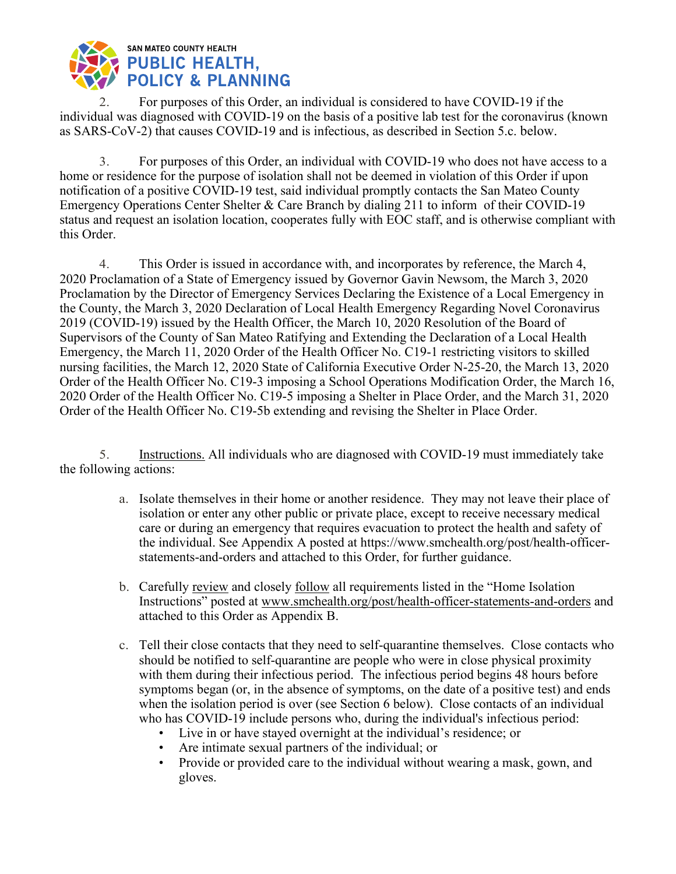

2. For purposes of this Order, an individual is considered to have COVID-19 if the individual was diagnosed with COVID-19 on the basis of a positive lab test for the coronavirus (known as SARS-CoV-2) that causes COVID-19 and is infectious, as described in Section 5.c. below.

3. For purposes of this Order, an individual with COVID-19 who does not have access to a home or residence for the purpose of isolation shall not be deemed in violation of this Order if upon notification of a positive COVID-19 test, said individual promptly contacts the San Mateo County Emergency Operations Center Shelter & Care Branch by dialing 211 to inform of their COVID-19 status and request an isolation location, cooperates fully with EOC staff, and is otherwise compliant with this Order.

4. This Order is issued in accordance with, and incorporates by reference, the March 4, 2020 Proclamation of a State of Emergency issued by Governor Gavin Newsom, the March 3, 2020 Proclamation by the Director of Emergency Services Declaring the Existence of a Local Emergency in the County, the March 3, 2020 Declaration of Local Health Emergency Regarding Novel Coronavirus 2019 (COVID-19) issued by the Health Officer, the March 10, 2020 Resolution of the Board of Supervisors of the County of San Mateo Ratifying and Extending the Declaration of a Local Health Emergency, the March 11, 2020 Order of the Health Officer No. C19-1 restricting visitors to skilled nursing facilities, the March 12, 2020 State of California Executive Order N-25-20, the March 13, 2020 Order of the Health Officer No. C19-3 imposing a School Operations Modification Order, the March 16, 2020 Order of the Health Officer No. C19-5 imposing a Shelter in Place Order, and the March 31, 2020 Order of the Health Officer No. C19-5b extending and revising the Shelter in Place Order.

5. Instructions. All individuals who are diagnosed with COVID-19 must immediately take the following actions:

- a. Isolate themselves in their home or another residence. They may not leave their place of isolation or enter any other public or private place, except to receive necessary medical care or during an emergency that requires evacuation to protect the health and safety of the individual. See Appendix A posted at https://www.smchealth.org/post/health-officerstatements-and-orders and attached to this Order, for further guidance.
- b. Carefully review and closely follow all requirements listed in the "Home Isolation Instructions" posted at www.smchealth.org/post/health-officer-statements-and-orders and attached to this Order as Appendix B.
- c. Tell their close contacts that they need to self-quarantine themselves. Close contacts who should be notified to self-quarantine are people who were in close physical proximity with them during their infectious period. The infectious period begins 48 hours before symptoms began (or, in the absence of symptoms, on the date of a positive test) and ends when the isolation period is over (see Section 6 below). Close contacts of an individual who has COVID-19 include persons who, during the individual's infectious period:
	- Live in or have stayed overnight at the individual's residence; or
	- Are intimate sexual partners of the individual; or
	- Provide or provided care to the individual without wearing a mask, gown, and gloves.